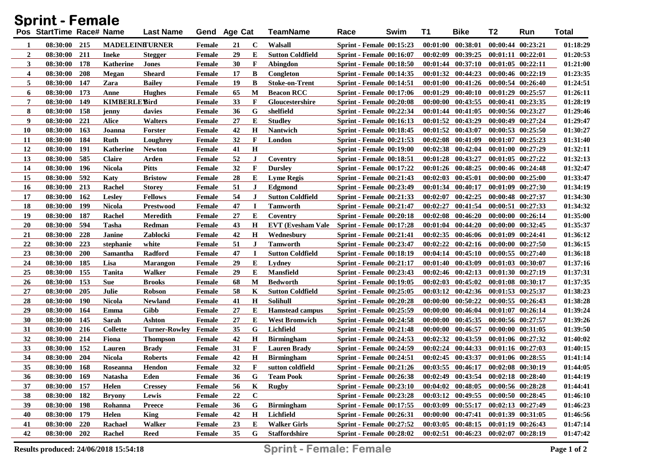| <b>Sprint - Female</b>  |                          |            |                       |                      |               |    |             |                          |                                 |      |          |                       |                       |                       |              |
|-------------------------|--------------------------|------------|-----------------------|----------------------|---------------|----|-------------|--------------------------|---------------------------------|------|----------|-----------------------|-----------------------|-----------------------|--------------|
|                         | Pos StartTime Race# Name |            |                       | <b>Last Name</b>     | Gend Age Cat  |    |             | <b>TeamName</b>          | Race                            | Swim | T1       | <b>Bike</b>           | T2                    | Run                   | <b>Total</b> |
| -1                      | 08:30:00                 | 215        | <b>MADELEINFURNER</b> |                      | Female        | 21 | $\mathbf C$ | Walsall                  | <b>Sprint - Female 00:15:23</b> |      |          | $00:01:00$ $00:38:01$ |                       | $00:00:44$ $00:23:21$ | 01:18:29     |
| $\boldsymbol{2}$        | 08:30:00                 | 211        | <b>Ineke</b>          | <b>Stegger</b>       | <b>Female</b> | 29 | E           | <b>Sutton Coldfield</b>  | <b>Sprint - Female 00:16:07</b> |      | 00:02:09 | 00:39:25              | $00:01:11$ $00:22:01$ |                       | 01:20:53     |
| 3                       | 08:30:00                 | 178        | Katherine             | <b>Jones</b>         | Female        | 30 | F           | Abingdon                 | <b>Sprint - Female 00:18:50</b> |      |          | $00:01:44$ $00:37:10$ | $00:01:05$ $00:22:11$ |                       | 01:21:00     |
| $\overline{\mathbf{4}}$ | 08:30:00                 | 208        | Megan                 | <b>Sheard</b>        | <b>Female</b> | 17 | B           | Congleton                | <b>Sprint - Female 00:14:35</b> |      |          | $00:01:32$ $00:44:23$ | 00:00:46 00:22:19     |                       | 01:23:35     |
| 5                       | 08:30:00                 | 147        | Zara                  | <b>Bailey</b>        | <b>Female</b> | 19 | B           | <b>Stoke-on-Trent</b>    | Sprint - Female 00:14:51        |      | 00:01:00 | 00:41:26              | $00:00:54$ $00:26:40$ |                       | 01:24:51     |
| 6                       | 08:30:00                 | 173        | Anne                  | <b>Hughes</b>        | Female        | 65 | M           | <b>Beacon RCC</b>        | <b>Sprint - Female 00:17:06</b> |      | 00:01:29 | 00:40:10              | $00:01:29$ $00:25:57$ |                       | 01:26:11     |
| 7                       | 08:30:00                 | 149        | <b>KIMBERLE Bird</b>  |                      | <b>Female</b> | 33 | F           | Gloucestershire          | Sprint - Female 00:20:08        |      | 00:00:00 | 00:43:55              | 00:00:41 00:23:35     |                       | 01:28:19     |
| 8                       | 08:30:00                 | 158        | jenny                 | davies               | <b>Female</b> | 36 | G           | shelfield                | <b>Sprint - Female 00:22:34</b> |      |          | 00:01:44 00:41:05     | 00:00:56 00:23:27     |                       | 01:29:46     |
| 9                       | 08:30:00                 | 221        | <b>Alice</b>          | <b>Walters</b>       | Female        | 27 | Е           | <b>Studley</b>           | <b>Sprint - Female 00:16:13</b> |      |          | 00:01:52 00:43:29     | 00:00:49 00:27:24     |                       | 01:29:47     |
| 10                      | 08:30:00                 | 163        | Joanna                | Forster              | <b>Female</b> | 42 | $\mathbf H$ | Nantwich                 | <b>Sprint - Female 00:18:45</b> |      |          | 00:01:52 00:43:07     |                       | $00:00:53$ $00:25:50$ | 01:30:27     |
| 11                      | 08:30:00                 | 184        | <b>Ruth</b>           | Loughrey             | <b>Female</b> | 32 | F           | London                   | <b>Sprint - Female 00:21:53</b> |      | 00:02:08 | 00:41:09              | $00:01:07$ $00:25:23$ |                       | 01:31:40     |
| 12                      | 08:30:00                 | 191        | <b>Katherine</b>      | <b>Newton</b>        | <b>Female</b> | 41 | $\mathbf H$ |                          | Sprint - Female 00:19:00        |      |          | $00:02:38$ $00:42:04$ |                       | $00:01:00$ $00:27:29$ | 01:32:11     |
| 13                      | 08:30:00                 | 585        | <b>Claire</b>         | Arden                | <b>Female</b> | 52 | $\bf J$     | Coventry                 | <b>Sprint - Female 00:18:51</b> |      |          | 00:01:28 00:43:27     |                       | $00:01:05$ $00:27:22$ | 01:32:13     |
| 14                      | 08:30:00                 | 196        | <b>Nicola</b>         | <b>Pitts</b>         | <b>Female</b> | 32 | F           | <b>Dursley</b>           | <b>Sprint - Female 00:17:22</b> |      |          | $00:01:26$ $00:48:25$ | 00:00:46 00:24:48     |                       | 01:32:47     |
| 15                      | 08:30:00                 | 592        | Katy                  | <b>Bristow</b>       | <b>Female</b> | 28 | E           | <b>Lyme Regis</b>        | <b>Sprint - Female 00:21:43</b> |      |          | $00:02:03$ $00:45:01$ |                       | $00:00:00$ $00:25:00$ | 01:33:47     |
| 16                      | 08:30:00                 | 213        | Rachel                | <b>Storey</b>        | <b>Female</b> | 51 | $\bf J$     | <b>Edgmond</b>           | <b>Sprint - Female 00:23:49</b> |      |          | $00:01:34$ $00:40:17$ |                       | 00:01:09 00:27:30     | 01:34:19     |
| 17                      | 08:30:00                 | 162        | <b>Lesley</b>         | <b>Fellows</b>       | <b>Female</b> | 54 | $\bf J$     | <b>Sutton Coldfield</b>  | <b>Sprint - Female 00:21:33</b> |      | 00:02:07 | 00:42:25              | 00:00:48 00:27:37     |                       | 01:34:30     |
| 18                      | 08:30:00                 | 199        | <b>Nicola</b>         | <b>Prestwood</b>     | Female        | 47 | <b>I</b>    | Tamworth                 | <b>Sprint - Female 00:21:47</b> |      | 00:02:27 | 00:41:54              | 00:00:51 00:27:33     |                       | 01:34:32     |
| 19                      | 08:30:00                 | 187        | Rachel                | <b>Meredith</b>      | <b>Female</b> | 27 | E           | Coventry                 | <b>Sprint - Female 00:20:18</b> |      |          | $00:02:08$ $00:46:20$ | 00:00:00 00:26:14     |                       | 01:35:00     |
| 20                      | 08:30:00                 | 594        | <b>Tasha</b>          | Redman               | Female        | 43 | H           | <b>EVT</b> (Evesham Vale | Sprint - Female 00:17:28        |      | 00:01:04 | 00:44:20              |                       | 00:00:00 00:32:45     | 01:35:37     |
| 21                      | 08:30:00                 | 228        | <b>Janine</b>         | Zablocki             | Female        | 42 | $\mathbf H$ | Wednesbury               | <b>Sprint - Female 00:21:41</b> |      |          | $00:02:35$ $00:46:06$ | $00:01:09$ $00:24:41$ |                       | 01:36:12     |
| 22                      | 08:30:00                 | 223        | stephanie             | white                | <b>Female</b> | 51 | $\bf J$     | Tamworth                 | <b>Sprint - Female 00:23:47</b> |      | 00:02:22 | 00:42:16              | $00:00:00$ $00:27:50$ |                       | 01:36:15     |
| 23                      | 08:30:00                 | 200        | Samantha              | Radford              | Female        | 47 | $\mathbf I$ | <b>Sutton Coldfield</b>  | <b>Sprint - Female 00:18:19</b> |      |          | $00:04:14$ $00:45:10$ |                       | 00:00:55 00:27:40     | 01:36:18     |
| 24                      | 08:30:00                 | 185        | Lisa                  | <b>Marangon</b>      | Female        | 29 | E           | Lydney                   | <b>Sprint - Female 00:21:17</b> |      | 00:01:40 | 00:43:09              | 00:01:03 00:30:07     |                       | 01:37:16     |
| 25                      | 08:30:00                 | 155        | Tanita                | <b>Walker</b>        | <b>Female</b> | 29 | Е           | <b>Mansfield</b>         | <b>Sprint - Female 00:23:43</b> |      |          | $00:02:46$ $00:42:13$ | 00:01:30 00:27:19     |                       | 01:37:31     |
| 26                      | 08:30:00                 | 153        | <b>Sue</b>            | <b>Brooks</b>        | Female        | 68 | M           | <b>Bedworth</b>          | <b>Sprint - Female 00:19:05</b> |      | 00:02:03 | 00:45:02              | 00:01:08 00:30:17     |                       | 01:37:35     |
| 27                      | 08:30:00                 | 205        | Julie                 | <b>Robson</b>        | Female        | 58 | K           | <b>Sutton Coldfield</b>  | <b>Sprint - Female 00:25:05</b> |      |          | $00:03:12$ $00:42:36$ | $00:01:53$ $00:25:37$ |                       | 01:38:23     |
| 28                      | 08:30:00                 | <b>190</b> | <b>Nicola</b>         | <b>Newland</b>       | Female        | 41 | $\mathbf H$ | Solihull                 | Sprint - Female 00:20:28        |      | 00:00:00 | 00:50:22              |                       | $00:00:55$ $00:26:43$ | 01:38:28     |
| 29                      | 08:30:00                 | 164        | Emma                  | Gibb                 | Female        | 27 | Е           | <b>Hamstead campus</b>   | <b>Sprint - Female 00:25:59</b> |      | 00:00:00 | 00:46:04              |                       | $00:01:07$ $00:26:14$ | 01:39:24     |
| 30                      | 08:30:00                 | 145        | <b>Sarah</b>          | Ashton               | Female        | 27 | Е           | <b>West Bromwich</b>     | Sprint - Female 00:24:58        |      | 00:00:00 | 00:45:35              | $00:00:56$ $00:27:57$ |                       | 01:39:26     |
| 31                      | 08:30:00                 | 216        | <b>Collette</b>       | <b>Turner-Rowley</b> | Female        | 35 | G           | Lichfield                | <b>Sprint - Female 00:21:48</b> |      | 00:00:00 | 00:46:57              |                       | $00:00:00$ $00:31:05$ | 01:39:50     |
| 32                      | 08:30:00                 | 214        | Fiona                 | <b>Thompson</b>      | Female        | 42 | $\mathbf H$ | <b>Birmingham</b>        | <b>Sprint - Female 00:24:53</b> |      | 00:02:32 | 00:43:59              |                       | $00:01:06$ $00:27:32$ | 01:40:02     |
| 33                      | 08:30:00                 | 152        | <b>Lauren</b>         | <b>Brady</b>         | Female        | 31 | F           | <b>Lauren Brady</b>      | <b>Sprint - Female 00:24:59</b> |      | 00:02:24 | 00:44:33              |                       | 00:01:16 00:27:03     | 01:40:15     |
| 34                      | 08:30:00                 | 204        | <b>Nicola</b>         | <b>Roberts</b>       | Female        | 42 | $\bf H$     | <b>Birmingham</b>        | <b>Sprint - Female 00:24:51</b> |      |          | $00:02:45$ $00:43:37$ |                       | $00:01:06$ $00:28:55$ | 01:41:14     |
| 35                      | 08:30:00 168             |            | Roseanna              | Hendon               | Female        | 32 | F           | sutton coldfield         | <b>Sprint - Female 00:21:26</b> |      |          | $00:03:55$ $00:46:17$ | $00:02:08$ $00:30:19$ |                       | 01:44:05     |
| 36                      | 08:30:00                 | - 169      | <b>Natasha</b>        | Eden                 | Female        | 36 | G           | <b>Team Pook</b>         | <b>Sprint - Female 00:26:38</b> |      |          | $00:02:49$ $00:43:54$ |                       | $00:02:18$ $00:28:40$ | 01:44:19     |
| 37                      | 08:30:00 157             |            | Helen                 | <b>Cressey</b>       | <b>Female</b> | 56 | K           | <b>Rugby</b>             | <b>Sprint - Female 00:23:10</b> |      |          | $00:04:02$ $00:48:05$ | $00:00:56$ $00:28:28$ |                       | 01:44:41     |
| 38                      | 08:30:00                 | 182        | <b>Bryony</b>         | Lewis                | Female        | 22 | $\bf C$     |                          | <b>Sprint - Female 00:23:28</b> |      |          | $00:03:12$ $00:49:55$ | $00:00:50$ $00:28:45$ |                       | 01:46:10     |
| 39                      | 08:30:00                 | 198        | Rohanna               | <b>Preece</b>        | Female        | 36 | G           | <b>Birmingham</b>        | <b>Sprint - Female 00:17:55</b> |      |          | $00:03:09$ $00:55:17$ |                       | $00:02:13$ $00:27:49$ | 01:46:23     |
| 40                      | 08:30:00                 | 179        | Helen                 | <b>King</b>          | <b>Female</b> | 42 | $\mathbf H$ | Lichfield                | <b>Sprint - Female 00:26:31</b> |      |          | $00:00:00$ $00:47:41$ |                       | 00:01:39 00:31:05     | 01:46:56     |
| 41                      | 08:30:00                 | 220        | Rachael               | Walker               | <b>Female</b> | 23 | Е           | <b>Walker Girls</b>      | <b>Sprint - Female 00:27:52</b> |      |          | $00:03:05$ $00:48:15$ |                       | $00:01:19$ $00:26:43$ | 01:47:14     |
| 42                      | 08:30:00                 | 202        | Rachel                | <b>Reed</b>          | Female        | 35 | G           | <b>Staffordshire</b>     | <b>Sprint - Female 00:28:02</b> |      |          | $00:02:51$ $00:46:23$ | $00:02:07$ $00:28:19$ |                       | 01:47:42     |